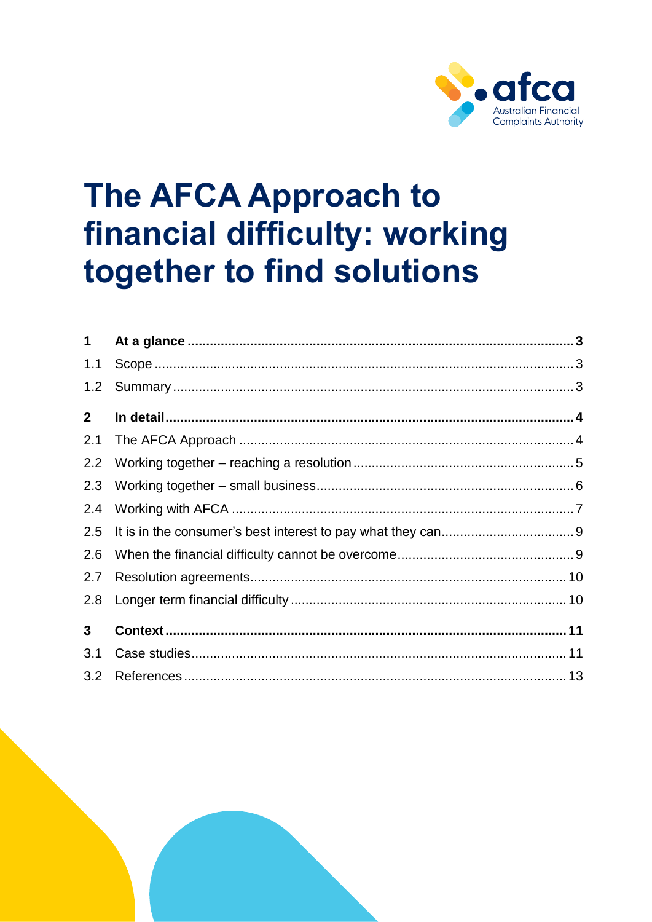

# **The AFCA Approach to** financial difficulty: working together to find solutions

| $\mathbf 1$    |  |
|----------------|--|
| 1.1            |  |
| 1.2            |  |
| 2 <sup>1</sup> |  |
| 2.1            |  |
| 2.2            |  |
| 2.3            |  |
| 2.4            |  |
| 2.5            |  |
| 2.6            |  |
| 2.7            |  |
| 2.8            |  |
| 3 <sup>1</sup> |  |
| 3.1            |  |
| 3.2            |  |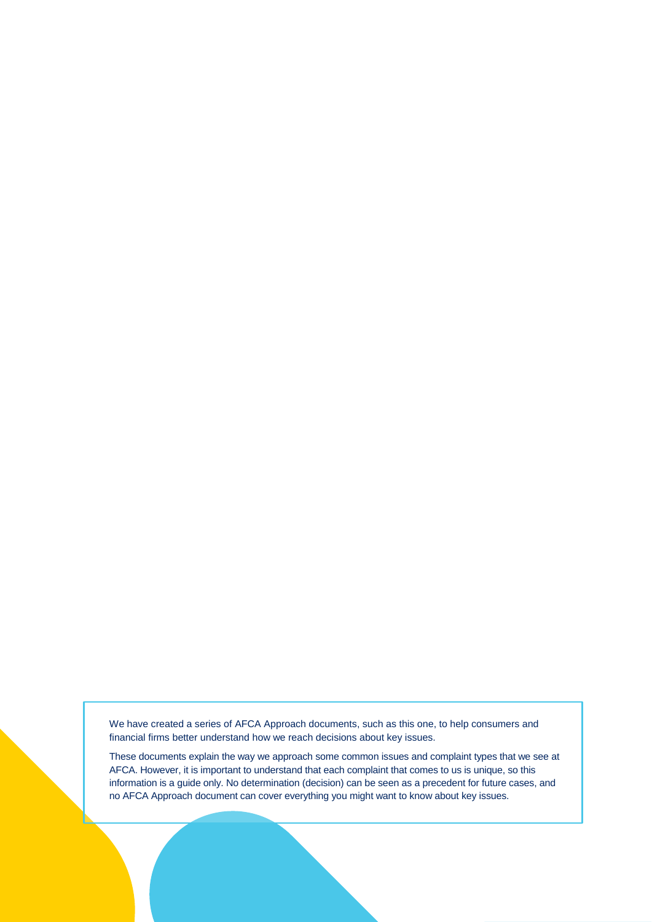We have created a series of AFCA Approach documents, such as this one, to help consumers and financial firms better understand how we reach decisions about key issues.

These documents explain the way we approach some common issues and complaint types that we see at AFCA. However, it is important to understand that each complaint that comes to us is unique, so this information is a guide only. No determination (decision) can be seen as a precedent for future cases, and no AFCA Approach document can cover everything you might want to know about key issues.

The AFCA Approach to financial difference to financial difference to find solutions  $P$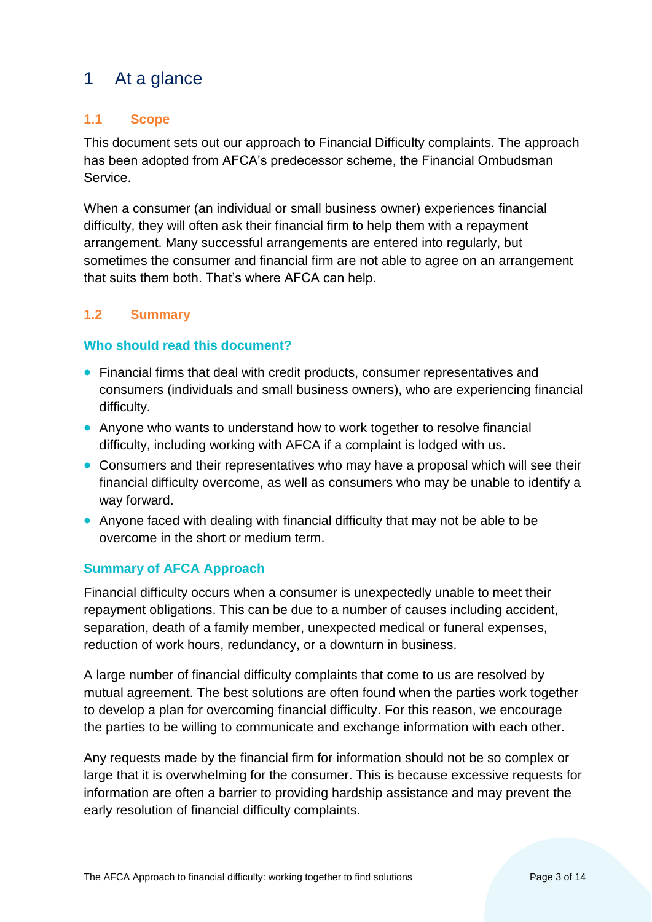# <span id="page-2-0"></span>1 At a glance

## <span id="page-2-1"></span>**1.1 Scope**

This document sets out our approach to Financial Difficulty complaints. The approach has been adopted from AFCA's predecessor scheme, the Financial Ombudsman Service.

When a consumer (an individual or small business owner) experiences financial difficulty, they will often ask their financial firm to help them with a repayment arrangement. Many successful arrangements are entered into regularly, but sometimes the consumer and financial firm are not able to agree on an arrangement that suits them both. That's where AFCA can help.

# <span id="page-2-2"></span>**1.2 Summary**

### **Who should read this document?**

- Financial firms that deal with credit products, consumer representatives and consumers (individuals and small business owners), who are experiencing financial difficulty.
- Anyone who wants to understand how to work together to resolve financial difficulty, including working with AFCA if a complaint is lodged with us.
- Consumers and their representatives who may have a proposal which will see their financial difficulty overcome, as well as consumers who may be unable to identify a way forward.
- Anyone faced with dealing with financial difficulty that may not be able to be overcome in the short or medium term.

### **Summary of AFCA Approach**

Financial difficulty occurs when a consumer is unexpectedly unable to meet their repayment obligations. This can be due to a number of causes including accident, separation, death of a family member, unexpected medical or funeral expenses, reduction of work hours, redundancy, or a downturn in business.

A large number of financial difficulty complaints that come to us are resolved by mutual agreement. The best solutions are often found when the parties work together to develop a plan for overcoming financial difficulty. For this reason, we encourage the parties to be willing to communicate and exchange information with each other.

Any requests made by the financial firm for information should not be so complex or large that it is overwhelming for the consumer. This is because excessive requests for information are often a barrier to providing hardship assistance and may prevent the early resolution of financial difficulty complaints.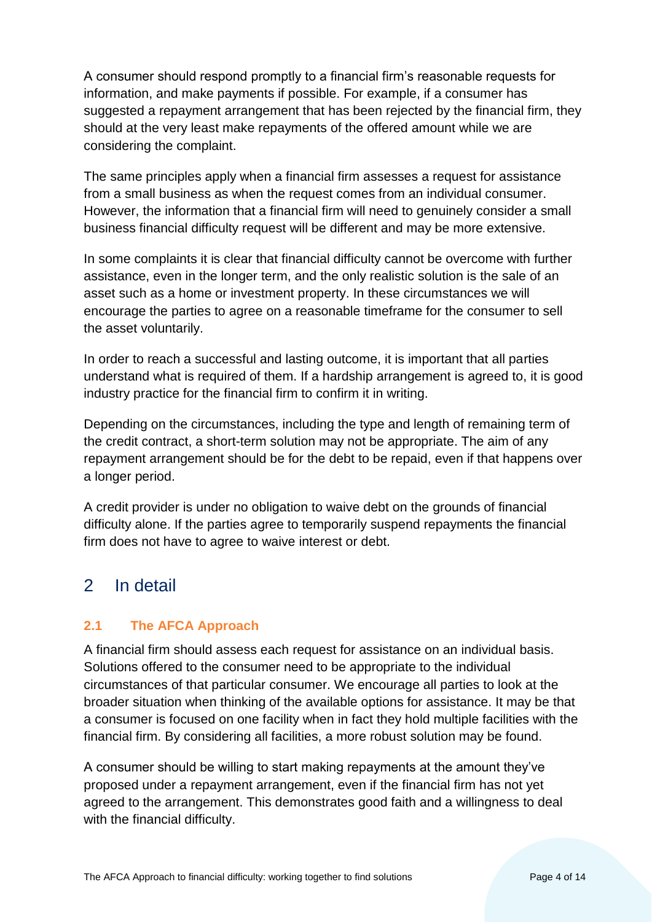A consumer should respond promptly to a financial firm's reasonable requests for information, and make payments if possible. For example, if a consumer has suggested a repayment arrangement that has been rejected by the financial firm, they should at the very least make repayments of the offered amount while we are considering the complaint.

The same principles apply when a financial firm assesses a request for assistance from a small business as when the request comes from an individual consumer. However, the information that a financial firm will need to genuinely consider a small business financial difficulty request will be different and may be more extensive.

In some complaints it is clear that financial difficulty cannot be overcome with further assistance, even in the longer term, and the only realistic solution is the sale of an asset such as a home or investment property. In these circumstances we will encourage the parties to agree on a reasonable timeframe for the consumer to sell the asset voluntarily.

In order to reach a successful and lasting outcome, it is important that all parties understand what is required of them. If a hardship arrangement is agreed to, it is good industry practice for the financial firm to confirm it in writing.

Depending on the circumstances, including the type and length of remaining term of the credit contract, a short-term solution may not be appropriate. The aim of any repayment arrangement should be for the debt to be repaid, even if that happens over a longer period.

A credit provider is under no obligation to waive debt on the grounds of financial difficulty alone. If the parties agree to temporarily suspend repayments the financial firm does not have to agree to waive interest or debt.

# <span id="page-3-0"></span>2 In detail

# <span id="page-3-1"></span>**2.1 The AFCA Approach**

A financial firm should assess each request for assistance on an individual basis. Solutions offered to the consumer need to be appropriate to the individual circumstances of that particular consumer. We encourage all parties to look at the broader situation when thinking of the available options for assistance. It may be that a consumer is focused on one facility when in fact they hold multiple facilities with the financial firm. By considering all facilities, a more robust solution may be found.

A consumer should be willing to start making repayments at the amount they've proposed under a repayment arrangement, even if the financial firm has not yet agreed to the arrangement. This demonstrates good faith and a willingness to deal with the financial difficulty.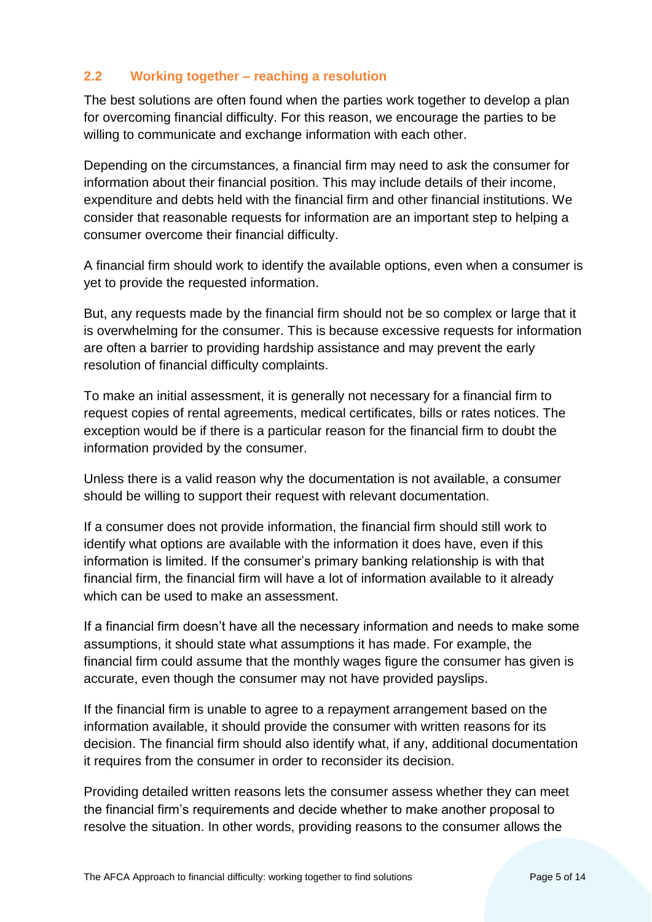#### <span id="page-4-0"></span>**2.2 Working together – reaching a resolution**

The best solutions are often found when the parties work together to develop a plan for overcoming financial difficulty. For this reason, we encourage the parties to be willing to communicate and exchange information with each other.

Depending on the circumstances, a financial firm may need to ask the consumer for information about their financial position. This may include details of their income, expenditure and debts held with the financial firm and other financial institutions. We consider that reasonable requests for information are an important step to helping a consumer overcome their financial difficulty.

A financial firm should work to identify the available options, even when a consumer is yet to provide the requested information.

But, any requests made by the financial firm should not be so complex or large that it is overwhelming for the consumer. This is because excessive requests for information are often a barrier to providing hardship assistance and may prevent the early resolution of financial difficulty complaints.

To make an initial assessment, it is generally not necessary for a financial firm to request copies of rental agreements, medical certificates, bills or rates notices. The exception would be if there is a particular reason for the financial firm to doubt the information provided by the consumer.

Unless there is a valid reason why the documentation is not available, a consumer should be willing to support their request with relevant documentation.

If a consumer does not provide information, the financial firm should still work to identify what options are available with the information it does have, even if this information is limited. If the consumer's primary banking relationship is with that financial firm, the financial firm will have a lot of information available to it already which can be used to make an assessment.

If a financial firm doesn't have all the necessary information and needs to make some assumptions, it should state what assumptions it has made. For example, the financial firm could assume that the monthly wages figure the consumer has given is accurate, even though the consumer may not have provided payslips.

If the financial firm is unable to agree to a repayment arrangement based on the information available, it should provide the consumer with written reasons for its decision. The financial firm should also identify what, if any, additional documentation it requires from the consumer in order to reconsider its decision.

Providing detailed written reasons lets the consumer assess whether they can meet the financial firm's requirements and decide whether to make another proposal to resolve the situation. In other words, providing reasons to the consumer allows the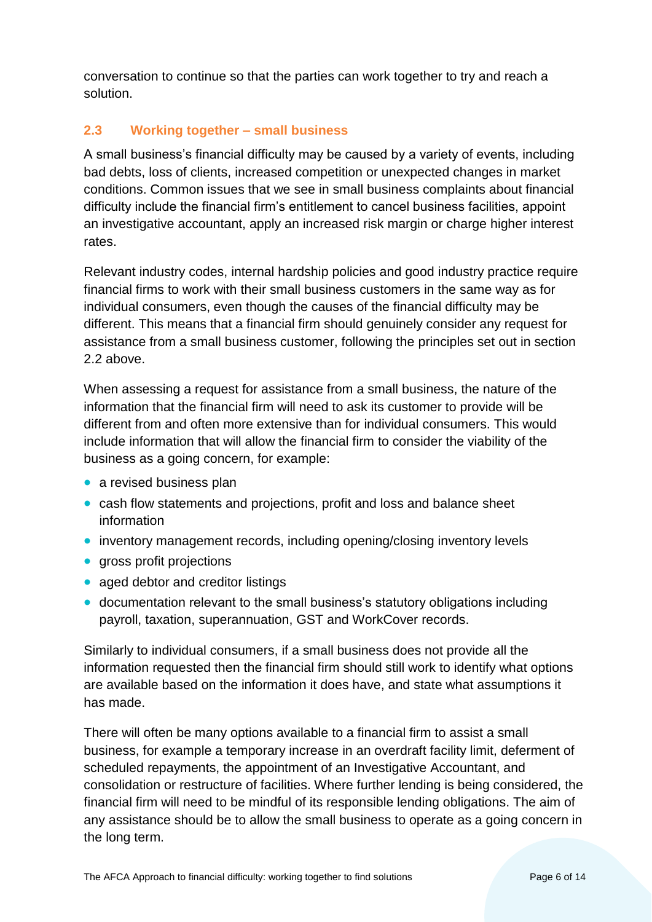conversation to continue so that the parties can work together to try and reach a solution.

# <span id="page-5-0"></span>**2.3 Working together – small business**

A small business's financial difficulty may be caused by a variety of events, including bad debts, loss of clients, increased competition or unexpected changes in market conditions. Common issues that we see in small business complaints about financial difficulty include the financial firm's entitlement to cancel business facilities, appoint an investigative accountant, apply an increased risk margin or charge higher interest rates.

Relevant industry codes, internal hardship policies and good industry practice require financial firms to work with their small business customers in the same way as for individual consumers, even though the causes of the financial difficulty may be different. This means that a financial firm should genuinely consider any request for assistance from a small business customer, following the principles set out in section 2.2 above.

When assessing a request for assistance from a small business, the nature of the information that the financial firm will need to ask its customer to provide will be different from and often more extensive than for individual consumers. This would include information that will allow the financial firm to consider the viability of the business as a going concern, for example:

- a revised business plan
- cash flow statements and projections, profit and loss and balance sheet information
- inventory management records, including opening/closing inventory levels
- aross profit projections
- aged debtor and creditor listings
- documentation relevant to the small business's statutory obligations including payroll, taxation, superannuation, GST and WorkCover records.

Similarly to individual consumers, if a small business does not provide all the information requested then the financial firm should still work to identify what options are available based on the information it does have, and state what assumptions it has made.

There will often be many options available to a financial firm to assist a small business, for example a temporary increase in an overdraft facility limit, deferment of scheduled repayments, the appointment of an Investigative Accountant, and consolidation or restructure of facilities. Where further lending is being considered, the financial firm will need to be mindful of its responsible lending obligations. The aim of any assistance should be to allow the small business to operate as a going concern in the long term.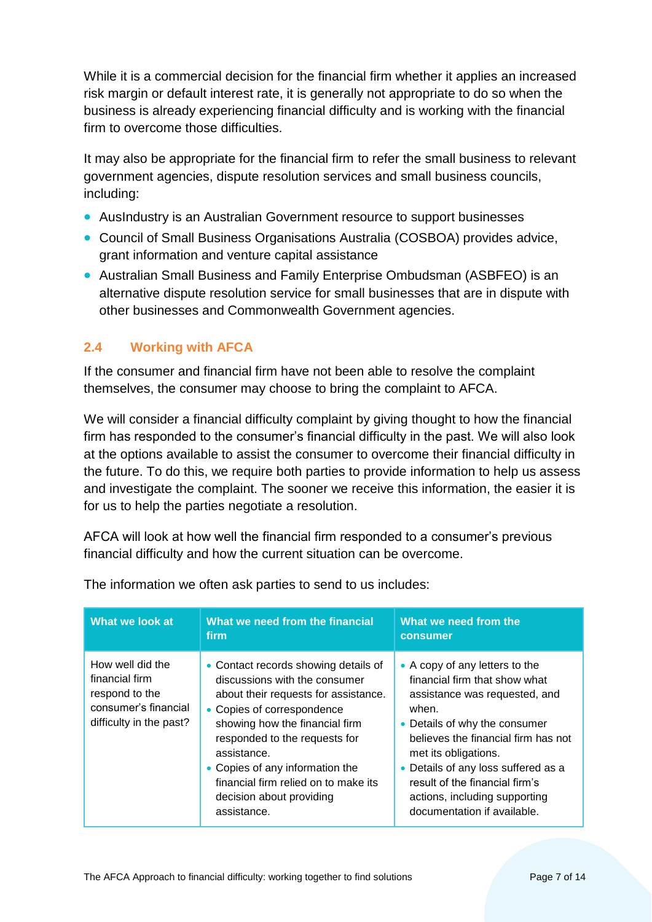While it is a commercial decision for the financial firm whether it applies an increased risk margin or default interest rate, it is generally not appropriate to do so when the business is already experiencing financial difficulty and is working with the financial firm to overcome those difficulties.

It may also be appropriate for the financial firm to refer the small business to relevant government agencies, dispute resolution services and small business councils, including:

- AusIndustry is an Australian Government resource to support businesses
- Council of Small Business Organisations Australia (COSBOA) provides advice, grant information and venture capital assistance
- Australian Small Business and Family Enterprise Ombudsman (ASBFEO) is an alternative dispute resolution service for small businesses that are in dispute with other businesses and Commonwealth Government agencies.

#### <span id="page-6-0"></span>**2.4 Working with AFCA**

If the consumer and financial firm have not been able to resolve the complaint themselves, the consumer may choose to bring the complaint to AFCA.

We will consider a financial difficulty complaint by giving thought to how the financial firm has responded to the consumer's financial difficulty in the past. We will also look at the options available to assist the consumer to overcome their financial difficulty in the future. To do this, we require both parties to provide information to help us assess and investigate the complaint. The sooner we receive this information, the easier it is for us to help the parties negotiate a resolution.

AFCA will look at how well the financial firm responded to a consumer's previous financial difficulty and how the current situation can be overcome.

| What we look at                                                                                         | What we need from the financial<br>firm                                                                                                                                                                                                                                                                                                             | What we need from the<br>consumer                                                                                                                                                                                                                                                                                                                  |
|---------------------------------------------------------------------------------------------------------|-----------------------------------------------------------------------------------------------------------------------------------------------------------------------------------------------------------------------------------------------------------------------------------------------------------------------------------------------------|----------------------------------------------------------------------------------------------------------------------------------------------------------------------------------------------------------------------------------------------------------------------------------------------------------------------------------------------------|
| How well did the<br>financial firm<br>respond to the<br>consumer's financial<br>difficulty in the past? | • Contact records showing details of<br>discussions with the consumer<br>about their requests for assistance.<br>• Copies of correspondence<br>showing how the financial firm<br>responded to the requests for<br>assistance.<br>• Copies of any information the<br>financial firm relied on to make its<br>decision about providing<br>assistance. | • A copy of any letters to the<br>financial firm that show what<br>assistance was requested, and<br>when.<br>• Details of why the consumer<br>believes the financial firm has not<br>met its obligations.<br>• Details of any loss suffered as a<br>result of the financial firm's<br>actions, including supporting<br>documentation if available. |

The information we often ask parties to send to us includes: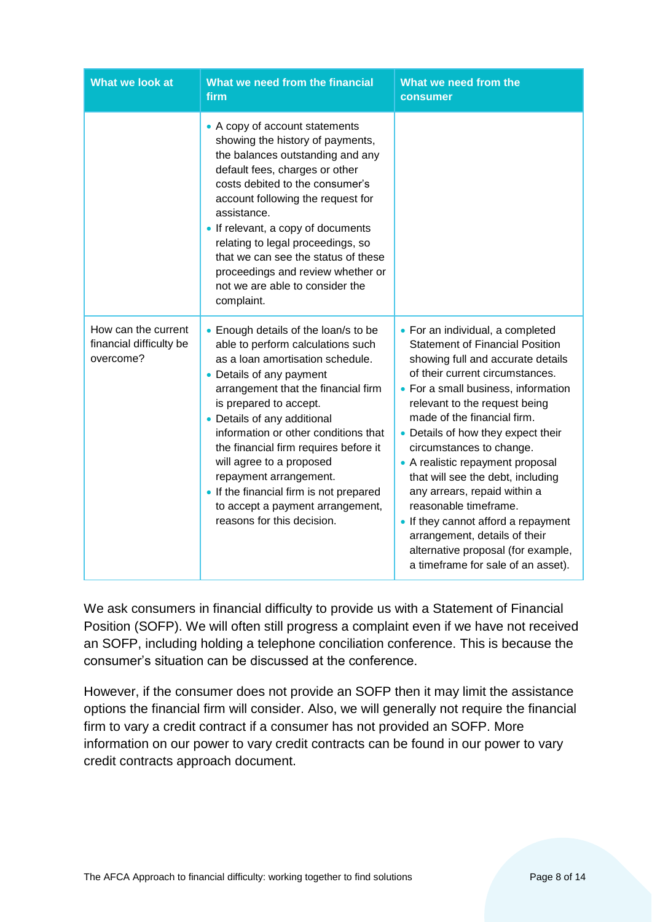| What we look at                                             | What we need from the financial<br>firm                                                                                                                                                                                                                                                                                                                                                                                                                                                       | What we need from the<br>consumer                                                                                                                                                                                                                                                                                                                                                                                                                                                                                                                                                                                 |
|-------------------------------------------------------------|-----------------------------------------------------------------------------------------------------------------------------------------------------------------------------------------------------------------------------------------------------------------------------------------------------------------------------------------------------------------------------------------------------------------------------------------------------------------------------------------------|-------------------------------------------------------------------------------------------------------------------------------------------------------------------------------------------------------------------------------------------------------------------------------------------------------------------------------------------------------------------------------------------------------------------------------------------------------------------------------------------------------------------------------------------------------------------------------------------------------------------|
|                                                             | • A copy of account statements<br>showing the history of payments,<br>the balances outstanding and any<br>default fees, charges or other<br>costs debited to the consumer's<br>account following the request for<br>assistance.<br>• If relevant, a copy of documents<br>relating to legal proceedings, so<br>that we can see the status of these<br>proceedings and review whether or<br>not we are able to consider the<br>complaint.                                                       |                                                                                                                                                                                                                                                                                                                                                                                                                                                                                                                                                                                                                   |
| How can the current<br>financial difficulty be<br>overcome? | • Enough details of the loan/s to be<br>able to perform calculations such<br>as a loan amortisation schedule.<br>• Details of any payment<br>arrangement that the financial firm<br>is prepared to accept.<br>• Details of any additional<br>information or other conditions that<br>the financial firm requires before it<br>will agree to a proposed<br>repayment arrangement.<br>• If the financial firm is not prepared<br>to accept a payment arrangement,<br>reasons for this decision. | • For an individual, a completed<br><b>Statement of Financial Position</b><br>showing full and accurate details<br>of their current circumstances.<br>• For a small business, information<br>relevant to the request being<br>made of the financial firm.<br>• Details of how they expect their<br>circumstances to change.<br>• A realistic repayment proposal<br>that will see the debt, including<br>any arrears, repaid within a<br>reasonable timeframe.<br>• If they cannot afford a repayment<br>arrangement, details of their<br>alternative proposal (for example,<br>a timeframe for sale of an asset). |

We ask consumers in financial difficulty to provide us with a Statement of Financial Position (SOFP). We will often still progress a complaint even if we have not received an SOFP, including holding a telephone conciliation conference. This is because the consumer's situation can be discussed at the conference.

However, if the consumer does not provide an SOFP then it may limit the assistance options the financial firm will consider. Also, we will generally not require the financial firm to vary a credit contract if a consumer has not provided an SOFP. More information on our power to vary credit contracts can be found in our power to vary credit contracts approach document.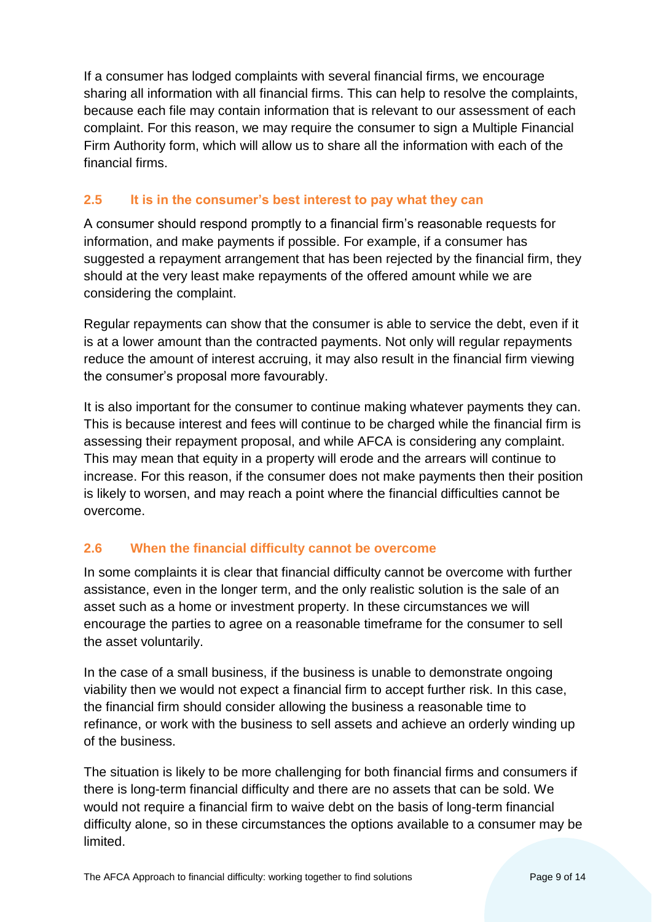If a consumer has lodged complaints with several financial firms, we encourage sharing all information with all financial firms. This can help to resolve the complaints, because each file may contain information that is relevant to our assessment of each complaint. For this reason, we may require the consumer to sign a Multiple Financial Firm Authority form, which will allow us to share all the information with each of the financial firms.

# <span id="page-8-0"></span>**2.5 It is in the consumer's best interest to pay what they can**

A consumer should respond promptly to a financial firm's reasonable requests for information, and make payments if possible. For example, if a consumer has suggested a repayment arrangement that has been rejected by the financial firm, they should at the very least make repayments of the offered amount while we are considering the complaint.

Regular repayments can show that the consumer is able to service the debt, even if it is at a lower amount than the contracted payments. Not only will regular repayments reduce the amount of interest accruing, it may also result in the financial firm viewing the consumer's proposal more favourably.

It is also important for the consumer to continue making whatever payments they can. This is because interest and fees will continue to be charged while the financial firm is assessing their repayment proposal, and while AFCA is considering any complaint. This may mean that equity in a property will erode and the arrears will continue to increase. For this reason, if the consumer does not make payments then their position is likely to worsen, and may reach a point where the financial difficulties cannot be overcome.

# <span id="page-8-1"></span>**2.6 When the financial difficulty cannot be overcome**

In some complaints it is clear that financial difficulty cannot be overcome with further assistance, even in the longer term, and the only realistic solution is the sale of an asset such as a home or investment property. In these circumstances we will encourage the parties to agree on a reasonable timeframe for the consumer to sell the asset voluntarily.

In the case of a small business, if the business is unable to demonstrate ongoing viability then we would not expect a financial firm to accept further risk. In this case, the financial firm should consider allowing the business a reasonable time to refinance, or work with the business to sell assets and achieve an orderly winding up of the business.

The situation is likely to be more challenging for both financial firms and consumers if there is long-term financial difficulty and there are no assets that can be sold. We would not require a financial firm to waive debt on the basis of long-term financial difficulty alone, so in these circumstances the options available to a consumer may be limited.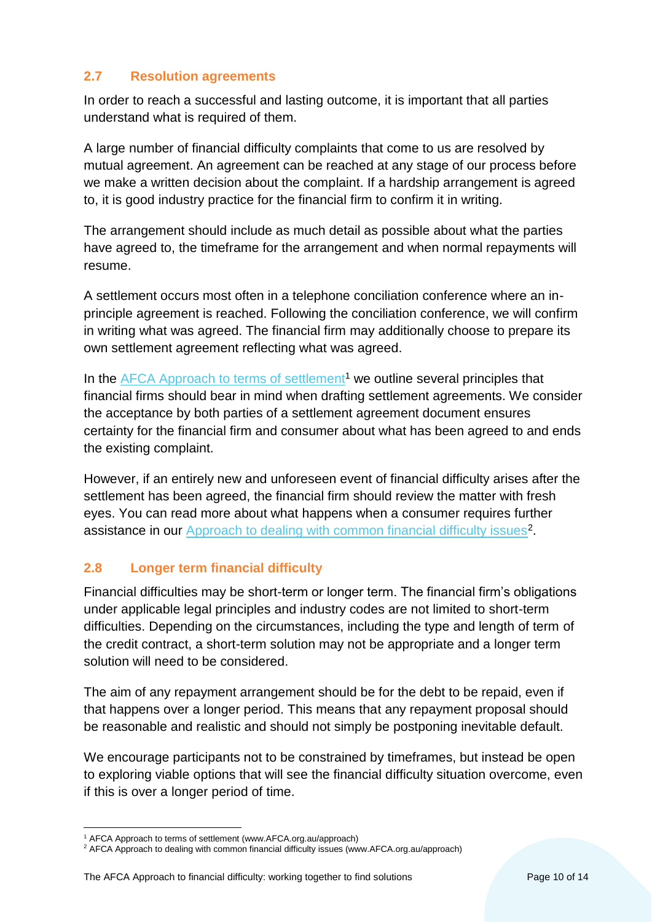## <span id="page-9-0"></span>**2.7 Resolution agreements**

In order to reach a successful and lasting outcome, it is important that all parties understand what is required of them.

A large number of financial difficulty complaints that come to us are resolved by mutual agreement. An agreement can be reached at any stage of our process before we make a written decision about the complaint. If a hardship arrangement is agreed to, it is good industry practice for the financial firm to confirm it in writing.

The arrangement should include as much detail as possible about what the parties have agreed to, the timeframe for the arrangement and when normal repayments will resume.

A settlement occurs most often in a telephone conciliation conference where an inprinciple agreement is reached. Following the conciliation conference, we will confirm in writing what was agreed. The financial firm may additionally choose to prepare its own settlement agreement reflecting what was agreed.

In the [AFCA Approach to terms of settlement](https://www.afca.org.au/public/download.jsp?id=7420)<sup>1</sup> we outline several principles that financial firms should bear in mind when drafting settlement agreements. We consider the acceptance by both parties of a settlement agreement document ensures certainty for the financial firm and consumer about what has been agreed to and ends the existing complaint.

However, if an entirely new and unforeseen event of financial difficulty arises after the settlement has been agreed, the financial firm should review the matter with fresh eyes. You can read more about what happens when a consumer requires further assistance in our [Approach to dealing with common financial difficulty issues](https://www.afca.org.au/public/download.jsp?id=7232)<sup>2</sup>.

# <span id="page-9-1"></span>**2.8 Longer term financial difficulty**

Financial difficulties may be short-term or longer term. The financial firm's obligations under applicable legal principles and industry codes are not limited to short-term difficulties. Depending on the circumstances, including the type and length of term of the credit contract, a short-term solution may not be appropriate and a longer term solution will need to be considered.

The aim of any repayment arrangement should be for the debt to be repaid, even if that happens over a longer period. This means that any repayment proposal should be reasonable and realistic and should not simply be postponing inevitable default.

We encourage participants not to be constrained by timeframes, but instead be open to exploring viable options that will see the financial difficulty situation overcome, even if this is over a longer period of time.

 $\overline{a}$ 

<sup>&</sup>lt;sup>1</sup> AFCA Approach to terms of settlement (www.AFCA.org.au/approach)

<sup>&</sup>lt;sup>2</sup> AFCA Approach to dealing with common financial difficulty issues (www.AFCA.org.au/approach)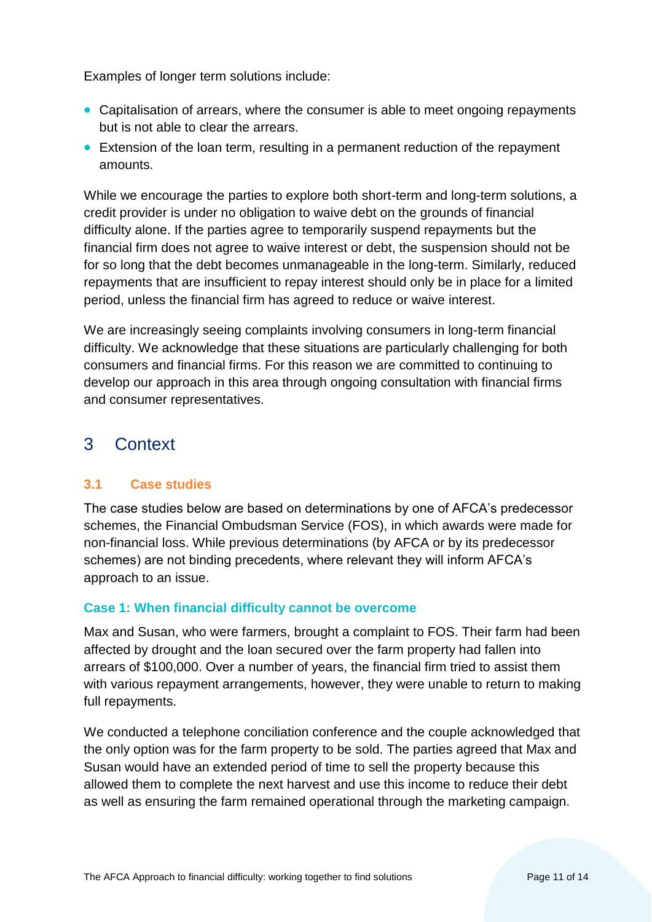Examples of longer term solutions include:

- Capitalisation of arrears, where the consumer is able to meet ongoing repayments but is not able to clear the arrears.
- Extension of the loan term, resulting in a permanent reduction of the repayment amounts.

While we encourage the parties to explore both short-term and long-term solutions, a credit provider is under no obligation to waive debt on the grounds of financial difficulty alone. If the parties agree to temporarily suspend repayments but the financial firm does not agree to waive interest or debt, the suspension should not be for so long that the debt becomes unmanageable in the long-term. Similarly, reduced repayments that are insufficient to repay interest should only be in place for a limited period, unless the financial firm has agreed to reduce or waive interest.

We are increasingly seeing complaints involving consumers in long-term financial difficulty. We acknowledge that these situations are particularly challenging for both consumers and financial firms. For this reason we are committed to continuing to develop our approach in this area through ongoing consultation with financial firms and consumer representatives.

# <span id="page-10-0"></span>3 Context

# <span id="page-10-1"></span>**3.1 Case studies**

The case studies below are based on determinations by one of AFCA's predecessor schemes, the Financial Ombudsman Service (FOS), in which awards were made for non-financial loss. While previous determinations (by AFCA or by its predecessor schemes) are not binding precedents, where relevant they will inform AFCA's approach to an issue.

### **Case 1: When financial difficulty cannot be overcome**

Max and Susan, who were farmers, brought a complaint to FOS. Their farm had been affected by drought and the loan secured over the farm property had fallen into arrears of \$100,000. Over a number of years, the financial firm tried to assist them with various repayment arrangements, however, they were unable to return to making full repayments.

We conducted a telephone conciliation conference and the couple acknowledged that the only option was for the farm property to be sold. The parties agreed that Max and Susan would have an extended period of time to sell the property because this allowed them to complete the next harvest and use this income to reduce their debt as well as ensuring the farm remained operational through the marketing campaign.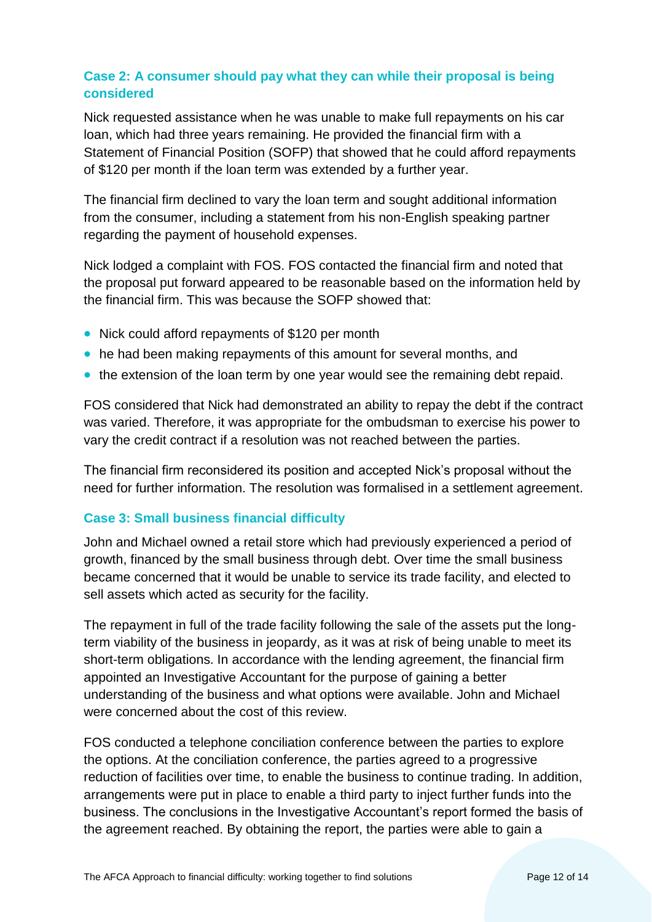# **Case 2: A consumer should pay what they can while their proposal is being considered**

Nick requested assistance when he was unable to make full repayments on his car loan, which had three years remaining. He provided the financial firm with a Statement of Financial Position (SOFP) that showed that he could afford repayments of \$120 per month if the loan term was extended by a further year.

The financial firm declined to vary the loan term and sought additional information from the consumer, including a statement from his non-English speaking partner regarding the payment of household expenses.

Nick lodged a complaint with FOS. FOS contacted the financial firm and noted that the proposal put forward appeared to be reasonable based on the information held by the financial firm. This was because the SOFP showed that:

- Nick could afford repayments of \$120 per month
- he had been making repayments of this amount for several months, and
- the extension of the loan term by one year would see the remaining debt repaid.

FOS considered that Nick had demonstrated an ability to repay the debt if the contract was varied. Therefore, it was appropriate for the ombudsman to exercise his power to vary the credit contract if a resolution was not reached between the parties.

The financial firm reconsidered its position and accepted Nick's proposal without the need for further information. The resolution was formalised in a settlement agreement.

### **Case 3: Small business financial difficulty**

John and Michael owned a retail store which had previously experienced a period of growth, financed by the small business through debt. Over time the small business became concerned that it would be unable to service its trade facility, and elected to sell assets which acted as security for the facility.

The repayment in full of the trade facility following the sale of the assets put the longterm viability of the business in jeopardy, as it was at risk of being unable to meet its short-term obligations. In accordance with the lending agreement, the financial firm appointed an Investigative Accountant for the purpose of gaining a better understanding of the business and what options were available. John and Michael were concerned about the cost of this review.

FOS conducted a telephone conciliation conference between the parties to explore the options. At the conciliation conference, the parties agreed to a progressive reduction of facilities over time, to enable the business to continue trading. In addition, arrangements were put in place to enable a third party to inject further funds into the business. The conclusions in the Investigative Accountant's report formed the basis of the agreement reached. By obtaining the report, the parties were able to gain a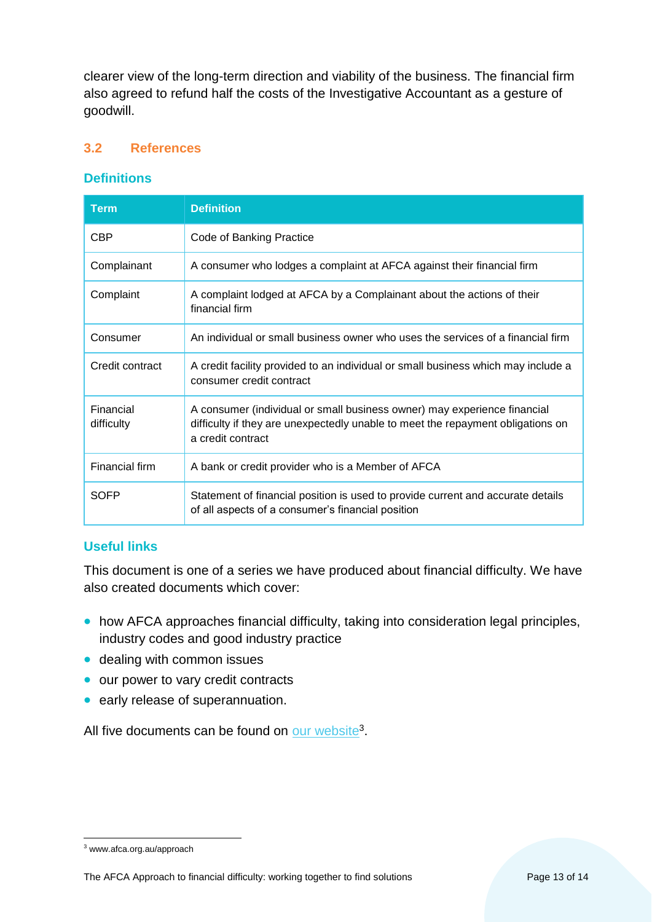clearer view of the long-term direction and viability of the business. The financial firm also agreed to refund half the costs of the Investigative Accountant as a gesture of goodwill.

#### <span id="page-12-0"></span>**3.2 References**

#### **Definitions**

| <b>Term</b>             | <b>Definition</b>                                                                                                                                                                |
|-------------------------|----------------------------------------------------------------------------------------------------------------------------------------------------------------------------------|
| <b>CBP</b>              | Code of Banking Practice                                                                                                                                                         |
| Complainant             | A consumer who lodges a complaint at AFCA against their financial firm                                                                                                           |
| Complaint               | A complaint lodged at AFCA by a Complainant about the actions of their<br>financial firm                                                                                         |
| Consumer                | An individual or small business owner who uses the services of a financial firm                                                                                                  |
| Credit contract         | A credit facility provided to an individual or small business which may include a<br>consumer credit contract                                                                    |
| Financial<br>difficulty | A consumer (individual or small business owner) may experience financial<br>difficulty if they are unexpectedly unable to meet the repayment obligations on<br>a credit contract |
| Financial firm          | A bank or credit provider who is a Member of AFCA                                                                                                                                |
| SOFP                    | Statement of financial position is used to provide current and accurate details<br>of all aspects of a consumer's financial position                                             |

### **Useful links**

This document is one of a series we have produced about financial difficulty. We have also created documents which cover:

- how AFCA approaches financial difficulty, taking into consideration legal principles, industry codes and good industry practice
- dealing with common issues
- our power to vary credit contracts
- early release of superannuation.

All five documents can be found on [our website](http://www.afca.org.au/approach)<sup>3</sup>.

 $\overline{a}$ <sup>3</sup> www.afca.org.au/approach

The AFCA Approach to financial difficulty: working together to find solutions Page 13 of 14